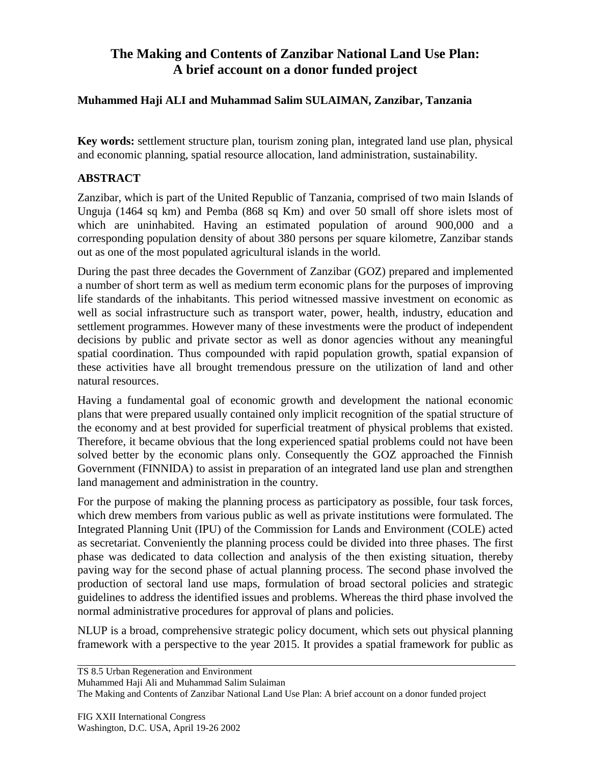## **The Making and Contents of Zanzibar National Land Use Plan: A brief account on a donor funded project**

## **Muhammed Haji ALI and Muhammad Salim SULAIMAN, Zanzibar, Tanzania**

**Key words:** settlement structure plan, tourism zoning plan, integrated land use plan, physical and economic planning, spatial resource allocation, land administration, sustainability.

## **ABSTRACT**

Zanzibar, which is part of the United Republic of Tanzania, comprised of two main Islands of Unguja (1464 sq km) and Pemba (868 sq Km) and over 50 small off shore islets most of which are uninhabited. Having an estimated population of around 900,000 and a corresponding population density of about 380 persons per square kilometre, Zanzibar stands out as one of the most populated agricultural islands in the world.

During the past three decades the Government of Zanzibar (GOZ) prepared and implemented a number of short term as well as medium term economic plans for the purposes of improving life standards of the inhabitants. This period witnessed massive investment on economic as well as social infrastructure such as transport water, power, health, industry, education and settlement programmes. However many of these investments were the product of independent decisions by public and private sector as well as donor agencies without any meaningful spatial coordination. Thus compounded with rapid population growth, spatial expansion of these activities have all brought tremendous pressure on the utilization of land and other natural resources.

Having a fundamental goal of economic growth and development the national economic plans that were prepared usually contained only implicit recognition of the spatial structure of the economy and at best provided for superficial treatment of physical problems that existed. Therefore, it became obvious that the long experienced spatial problems could not have been solved better by the economic plans only. Consequently the GOZ approached the Finnish Government (FINNIDA) to assist in preparation of an integrated land use plan and strengthen land management and administration in the country.

For the purpose of making the planning process as participatory as possible, four task forces, which drew members from various public as well as private institutions were formulated. The Integrated Planning Unit (IPU) of the Commission for Lands and Environment (COLE) acted as secretariat. Conveniently the planning process could be divided into three phases. The first phase was dedicated to data collection and analysis of the then existing situation, thereby paving way for the second phase of actual planning process. The second phase involved the production of sectoral land use maps, formulation of broad sectoral policies and strategic guidelines to address the identified issues and problems. Whereas the third phase involved the normal administrative procedures for approval of plans and policies.

NLUP is a broad, comprehensive strategic policy document, which sets out physical planning framework with a perspective to the year 2015. It provides a spatial framework for public as

TS 8.5 Urban Regeneration and Environment

Muhammed Haji Ali and Muhammad Salim Sulaiman

The Making and Contents of Zanzibar National Land Use Plan: A brief account on a donor funded project